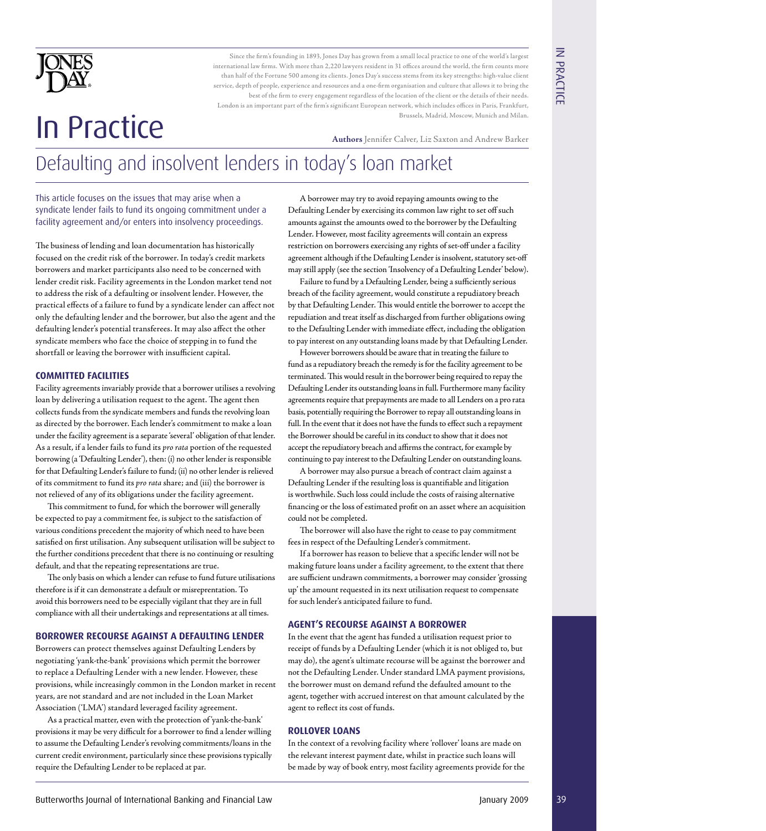

Since the firm's founding in 1893, Jones Day has grown from a small local practice to one of the world's largest international law firms. With more than 2,220 lawyers resident in 31 offices around the world, the firm counts more than half of the Fortune 500 among its clients. Jones Day's success stems from its key strengths: high-value client service, depth of people, experience and resources and a one-firm organisation and culture that allows it to bring the best of the firm to every engagement regardless of the location of the client or the details of their needs. London is an important part of the firm's significant European network, which includes offices in Paris, Frankfurt, Brussels, Madrid, Moscow, Munich and Milan.

# Authors Jennifer Calver, Liz Saxton and Andrew Barker

# Defaulting and insolvent lenders in today's loan market

This article focuses on the issues that may arise when a syndicate lender fails to fund its ongoing commitment under a facility agreement and/or enters into insolvency proceedings.

FOREXTY AND THE CHROMORETIES IN CONSULTER AND INTERNATIONAL THE CHROMORETIES ARE CHROMORETIES IN CONSULTER AND THE CHROMORETIES IN CONSULTER AND THE CHROMORETIES IN CONSULTER AND THE CHROMORETIES IN CONSULTER AND THE CHRO The business of lending and loan documentation has historically focused on the credit risk of the borrower. In today's credit markets borrowers and market participants also need to be concerned with lender credit risk. Facility agreements in the London market tend not to address the risk of a defaulting or insolvent lender. However, the practical effects of a failure to fund by a syndicate lender can affect not only the defaulting lender and the borrower, but also the agent and the defaulting lender's potential transferees. It may also affect the other syndicate members who face the choice of stepping in to fund the shortfall or leaving the borrower with insufficient capital.

## **COMMITTED FACILITIES**

Facility agreements invariably provide that a borrower utilises a revolving loan by delivering a utilisation request to the agent. The agent then collects funds from the syndicate members and funds the revolving loan as directed by the borrower. Each lender's commitment to make a loan under the facility agreement is a separate 'several' obligation of that lender. As a result, if a lender fails to fund its *pro rata* portion of the requested borrowing (a 'Defaulting Lender'), then: (i) no other lender is responsible for that Defaulting Lender's failure to fund; (ii) no other lender is relieved of its commitment to fund its *pro rata* share; and (iii) the borrower is not relieved of any of its obligations under the facility agreement.

This commitment to fund, for which the borrower will generally be expected to pay a commitment fee, is subject to the satisfaction of various conditions precedent the majority of which need to have been satisfied on first utilisation. Any subsequent utilisation will be subject to the further conditions precedent that there is no continuing or resulting default, and that the repeating representations are true.

The only basis on which a lender can refuse to fund future utilisations therefore is if it can demonstrate a default or misreprentation. To avoid this borrowers need to be especially vigilant that they are in full compliance with all their undertakings and representations at all times.

### **BORROWER RECOURSE AGAINST A DEFAULTING LENDER**

Borrowers can protect themselves against Defaulting Lenders by negotiating 'yank-the-bank' provisions which permit the borrower to replace a Defaulting Lender with a new lender. However, these provisions, while increasingly common in the London market in recent years, are not standard and are not included in the Loan Market Association ('LMA') standard leveraged facility agreement.

As a practical matter, even with the protection of 'yank-the-bank' provisions it may be very difficult for a borrower to find a lender willing to assume the Defaulting Lender's revolving commitments/loans in the current credit environment, particularly since these provisions typically require the Defaulting Lender to be replaced at par.

A borrower may try to avoid repaying amounts owing to the Defaulting Lender by exercising its common law right to set off such amounts against the amounts owed to the borrower by the Defaulting Lender. However, most facility agreements will contain an express restriction on borrowers exercising any rights of set-off under a facility agreement although if the Defaulting Lender is insolvent, statutory set-off may still apply (see the section 'Insolvency of a Defaulting Lender' below).

Failure to fund by a Defaulting Lender, being a sufficiently serious breach of the facility agreement, would constitute a repudiatory breach by that Defaulting Lender. This would entitle the borrower to accept the repudiation and treat itself as discharged from further obligations owing to the Defaulting Lender with immediate effect, including the obligation to pay interest on any outstanding loans made by that Defaulting Lender.

However borrowers should be aware that in treating the failure to fund as a repudiatory breach the remedy is for the facility agreement to be terminated. This would result in the borrower being required to repay the Defaulting Lender its outstanding loans in full. Furthermore many facility agreements require that prepayments are made to all Lenders on a pro rata basis, potentially requiring the Borrower to repay all outstanding loans in full. In the event that it does not have the funds to effect such a repayment the Borrower should be careful in its conduct to show that it does not accept the repudiatory breach and affirms the contract, for example by continuing to pay interest to the Defaulting Lender on outstanding loans.

A borrower may also pursue a breach of contract claim against a Defaulting Lender if the resulting loss is quantifiable and litigation is worthwhile. Such loss could include the costs of raising alternative financing or the loss of estimated profit on an asset where an acquisition could not be completed.

The borrower will also have the right to cease to pay commitment fees in respect of the Defaulting Lender's commitment.

If a borrower has reason to believe that a specific lender will not be making future loans under a facility agreement, to the extent that there are sufficient undrawn commitments, a borrower may consider 'grossing up' the amount requested in its next utilisation request to compensate for such lender's anticipated failure to fund.

# **AGENT'S RECOURSE AGAINST A BORROWER**

In the event that the agent has funded a utilisation request prior to receipt of funds by a Defaulting Lender (which it is not obliged to, but may do), the agent's ultimate recourse will be against the borrower and not the Defaulting Lender. Under standard LMA payment provisions, the borrower must on demand refund the defaulted amount to the agent, together with accrued interest on that amount calculated by the agent to reflect its cost of funds.

### **ROLLOVER LOANS**

In the context of a revolving facility where 'rollover' loans are made on the relevant interest payment date, whilst in practice such loans will be made by way of book entry, most facility agreements provide for the